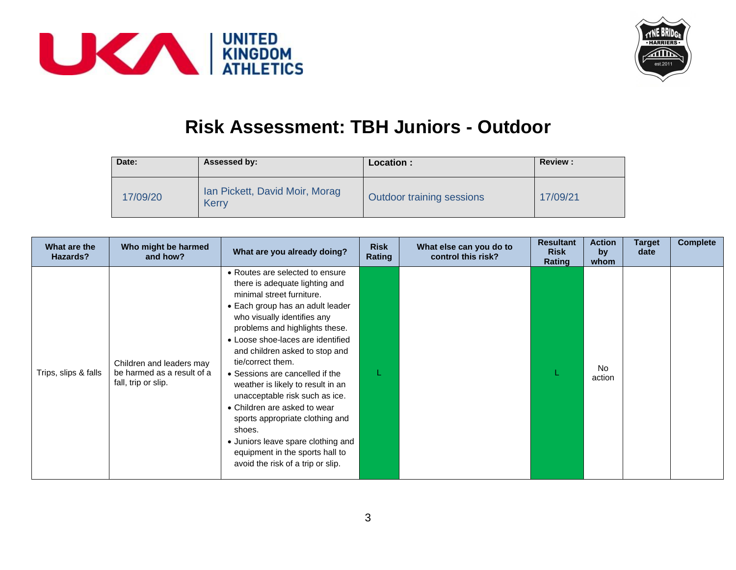



## **Risk Assessment: TBH Juniors - Outdoor**

| Date:    | Assessed by:                            | Location :                       | <b>Review:</b> |
|----------|-----------------------------------------|----------------------------------|----------------|
| 17/09/20 | Ian Pickett, David Moir, Morag<br>Kerry | <b>Outdoor training sessions</b> | 17/09/21       |

| What are the<br>Hazards? | Who might be harmed<br>and how?                                               | What are you already doing?                                                                                                                                                                                                                                                                                                                                                                                                                                                                                                                                                                          | <b>Risk</b><br>Rating | What else can you do to<br>control this risk? | <b>Resultant</b><br><b>Risk</b><br>Rating | <b>Action</b><br>by<br>whom | Target<br>date | <b>Complete</b> |
|--------------------------|-------------------------------------------------------------------------------|------------------------------------------------------------------------------------------------------------------------------------------------------------------------------------------------------------------------------------------------------------------------------------------------------------------------------------------------------------------------------------------------------------------------------------------------------------------------------------------------------------------------------------------------------------------------------------------------------|-----------------------|-----------------------------------------------|-------------------------------------------|-----------------------------|----------------|-----------------|
| Trips, slips & falls     | Children and leaders may<br>be harmed as a result of a<br>fall, trip or slip. | • Routes are selected to ensure<br>there is adequate lighting and<br>minimal street furniture.<br>• Each group has an adult leader<br>who visually identifies any<br>problems and highlights these.<br>• Loose shoe-laces are identified<br>and children asked to stop and<br>tie/correct them.<br>• Sessions are cancelled if the<br>weather is likely to result in an<br>unacceptable risk such as ice.<br>• Children are asked to wear<br>sports appropriate clothing and<br>shoes.<br>• Juniors leave spare clothing and<br>equipment in the sports hall to<br>avoid the risk of a trip or slip. |                       |                                               |                                           | <b>No</b><br>action         |                |                 |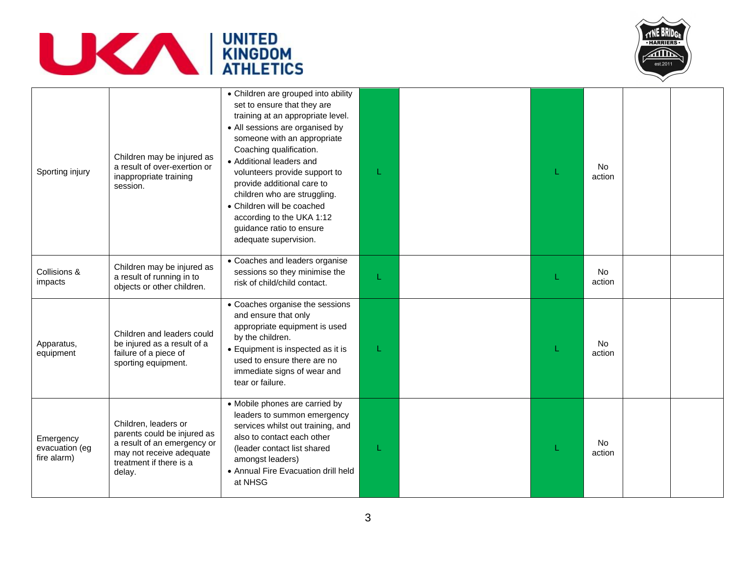



| Sporting injury                            | Children may be injured as<br>a result of over-exertion or<br>inappropriate training<br>session.                                                    | • Children are grouped into ability<br>set to ensure that they are<br>training at an appropriate level.<br>• All sessions are organised by<br>someone with an appropriate<br>Coaching qualification.<br>• Additional leaders and<br>volunteers provide support to<br>provide additional care to<br>children who are struggling.<br>• Children will be coached<br>according to the UKA 1:12<br>guidance ratio to ensure<br>adequate supervision. |  | No.<br>action       |  |
|--------------------------------------------|-----------------------------------------------------------------------------------------------------------------------------------------------------|-------------------------------------------------------------------------------------------------------------------------------------------------------------------------------------------------------------------------------------------------------------------------------------------------------------------------------------------------------------------------------------------------------------------------------------------------|--|---------------------|--|
| Collisions &<br>impacts                    | Children may be injured as<br>a result of running in to<br>objects or other children.                                                               | • Coaches and leaders organise<br>sessions so they minimise the<br>risk of child/child contact.                                                                                                                                                                                                                                                                                                                                                 |  | No<br>action        |  |
| Apparatus,<br>equipment                    | Children and leaders could<br>be injured as a result of a<br>failure of a piece of<br>sporting equipment.                                           | • Coaches organise the sessions<br>and ensure that only<br>appropriate equipment is used<br>by the children.<br>• Equipment is inspected as it is<br>used to ensure there are no<br>immediate signs of wear and<br>tear or failure.                                                                                                                                                                                                             |  | <b>No</b><br>action |  |
| Emergency<br>evacuation (eg<br>fire alarm) | Children, leaders or<br>parents could be injured as<br>a result of an emergency or<br>may not receive adequate<br>treatment if there is a<br>delay. | • Mobile phones are carried by<br>leaders to summon emergency<br>services whilst out training, and<br>also to contact each other<br>(leader contact list shared<br>amongst leaders)<br>• Annual Fire Evacuation drill held<br>at NHSG                                                                                                                                                                                                           |  | No<br>action        |  |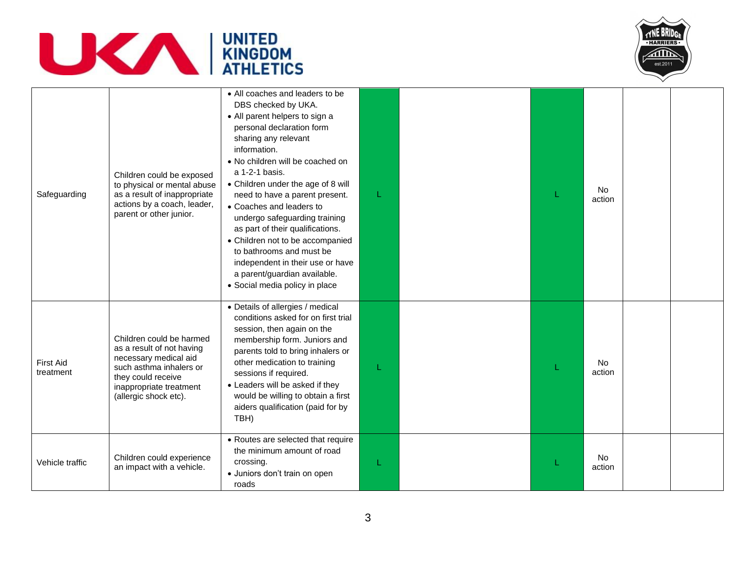



| Safeguarding                  | Children could be exposed<br>to physical or mental abuse<br>as a result of inappropriate<br>actions by a coach, leader,<br>parent or other junior.                                  | • All coaches and leaders to be<br>DBS checked by UKA.<br>• All parent helpers to sign a<br>personal declaration form<br>sharing any relevant<br>information.<br>• No children will be coached on<br>a 1-2-1 basis.<br>• Children under the age of 8 will<br>need to have a parent present.<br>• Coaches and leaders to<br>undergo safeguarding training<br>as part of their qualifications.<br>• Children not to be accompanied<br>to bathrooms and must be<br>independent in their use or have<br>a parent/guardian available.<br>• Social media policy in place |   |  | <b>No</b><br>action |  |
|-------------------------------|-------------------------------------------------------------------------------------------------------------------------------------------------------------------------------------|--------------------------------------------------------------------------------------------------------------------------------------------------------------------------------------------------------------------------------------------------------------------------------------------------------------------------------------------------------------------------------------------------------------------------------------------------------------------------------------------------------------------------------------------------------------------|---|--|---------------------|--|
| <b>First Aid</b><br>treatment | Children could be harmed<br>as a result of not having<br>necessary medical aid<br>such asthma inhalers or<br>they could receive<br>inappropriate treatment<br>(allergic shock etc). | • Details of allergies / medical<br>conditions asked for on first trial<br>session, then again on the<br>membership form. Juniors and<br>parents told to bring inhalers or<br>other medication to training<br>sessions if required.<br>• Leaders will be asked if they<br>would be willing to obtain a first<br>aiders qualification (paid for by<br>TBH)                                                                                                                                                                                                          |   |  | No<br>action        |  |
| Vehicle traffic               | Children could experience<br>an impact with a vehicle.                                                                                                                              | • Routes are selected that require<br>the minimum amount of road<br>crossing.<br>· Juniors don't train on open<br>roads                                                                                                                                                                                                                                                                                                                                                                                                                                            | L |  | <b>No</b><br>action |  |